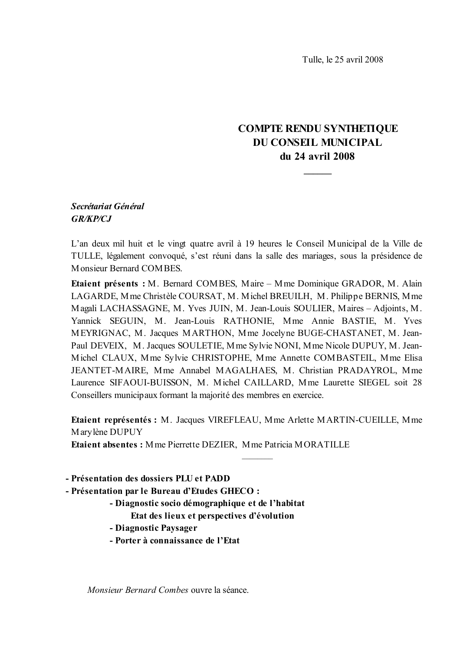Tulle, le 25 avril 2008

## **COMPTE RENDU SYNTHETIQUE DU CONSEIL MUNICIPAL** du 24 avril 2008

## Secrétariat Général **GR/KP/CJ**

L'an deux mil huit et le vingt quatre avril à 19 heures le Conseil Municipal de la Ville de TULLE, légalement convoqué, s'est réuni dans la salle des mariages, sous la présidence de Monsieur Bernard COMBES.

**Etaient présents : M. Bernard COMBES, Maire – Mme Dominique GRADOR, M. Alain** LAGARDE, Mme Christèle COURSAT, M. Michel BREUILH, M. Philippe BERNIS, Mme Magali LACHASSAGNE, M. Yves JUIN, M. Jean-Louis SOULIER, Maires - Adjoints, M. Yannick SEGUIN, M. Jean-Louis RATHONIE, Mme Annie BASTIE, M. Yves MEYRIGNAC, M. Jacques MARTHON, Mme Jocelyne BUGE-CHASTANET, M. Jean-Paul DEVEIX, M. Jacques SOULETIE, Mme Sylvie NONI, Mme Nicole DUPUY, M. Jean-Michel CLAUX, Mme Sylvie CHRISTOPHE, Mme Annette COMBASTEIL, Mme Elisa JEANTET-MAIRE, Mme Annabel MAGALHAES, M. Christian PRADAYROL, Mme Laurence SIFAOUI-BUISSON, M. Michel CAILLARD, Mme Laurette SIEGEL soit 28 Conseillers municipaux formant la majorité des membres en exercice.

**Etaient représentés : M. Jacques VIREFLEAU, Mme Arlette MARTIN-CUEILLE, Mme** Marylène DUPUY

**Etaient absentes:** Mme Pierrette DEZIER, Mme Patricia MORATILLE

- Présentation des dossiers PLU et PADD

- Présentation par le Bureau d'Etudes GHECO :

- Diagnostic socio démographique et de l'habitat

Etat des lieux et perspectives d'évolution

- Diagnostic Paysager

- Porter à connaissance de l'Etat

Monsieur Bernard Combes ouvre la séance.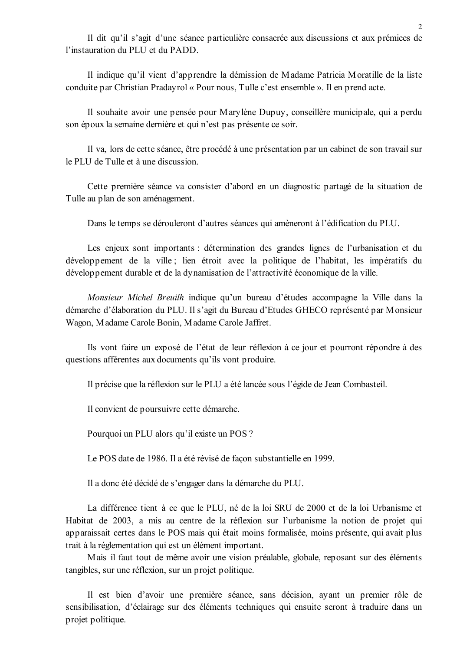Il dit qu'il s'agit d'une séance particulière consacrée aux discussions et aux prémices de l'instauration du PLU et du PADD.

Il indique qu'il vient d'apprendre la démission de Madame Patricia Moratille de la liste conduite par Christian Pradayrol « Pour nous, Tulle c'est ensemble ». Il en prend acte.

Il souhaite avoir une pensée pour Marylène Dupuy, conseillère municipale, qui a perdu son époux la semaine dernière et qui n'est pas présente ce soir.

Il va, lors de cette séance, être procédé à une présentation par un cabinet de son travail sur le PLU de Tulle et à une discussion.

Cette première séance va consister d'abord en un diagnostic partagé de la situation de Tulle au plan de son aménagement.

Dans le temps se dérouleront d'autres séances qui amèneront à l'édification du PLU.

Les enjeux sont importants : détermination des grandes lignes de l'urbanisation et du développement de la ville; lien étroit avec la politique de l'habitat, les impératifs du développement durable et de la dynamisation de l'attractivité économique de la ville.

Monsieur Michel Breuilh indique qu'un bureau d'études accompagne la Ville dans la démarche d'élaboration du PLU. Il s'agit du Bureau d'Etudes GHECO représenté par Monsieur Wagon, Madame Carole Bonin, Madame Carole Jaffret.

Ils vont faire un exposé de l'état de leur réflexion à ce jour et pourront répondre à des questions afférentes aux documents qu'ils vont produire.

Il précise que la réflexion sur le PLU a été lancée sous l'égide de Jean Combasteil.

Il convient de poursuivre cette démarche.

Pourquoi un PLU alors qu'il existe un POS ?

Le POS date de 1986. Il a été révisé de façon substantielle en 1999.

Il a donc été décidé de s'engager dans la démarche du PLU.

La différence tient à ce que le PLU, né de la loi SRU de 2000 et de la loi Urbanisme et Habitat de 2003, a mis au centre de la réflexion sur l'urbanisme la notion de projet qui apparaissait certes dans le POS mais qui était moins formalisée, moins présente, qui avait plus trait à la réglementation qui est un élément important.

Mais il faut tout de même avoir une vision préalable, globale, reposant sur des éléments tangibles, sur une réflexion, sur un projet politique.

Il est bien d'avoir une première séance, sans décision, ayant un premier rôle de sensibilisation, d'éclairage sur des éléments techniques qui ensuite seront à traduire dans un projet politique.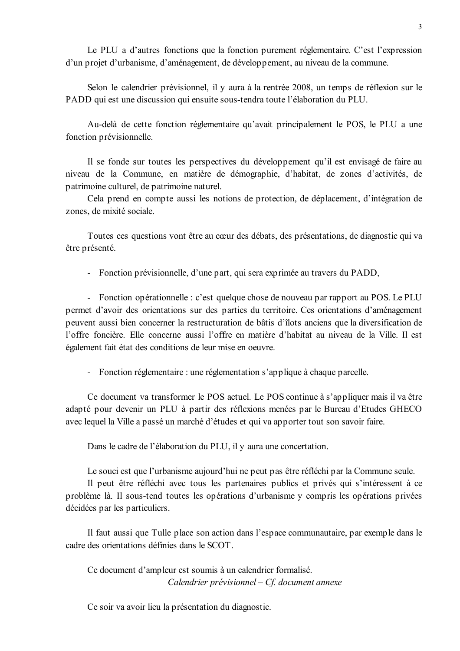Le PLU a d'autres fonctions que la fonction purement réglementaire. C'est l'expression d'un projet d'urbanisme, d'aménagement, de développement, au niveau de la commune.

Selon le calendrier prévisionnel, il y aura à la rentrée 2008, un temps de réflexion sur le PADD qui est une discussion qui ensuite sous-tendra toute l'élaboration du PLU.

Au-delà de cette fonction réglementaire qu'avait principalement le POS, le PLU a une fonction prévisionnelle.

Il se fonde sur toutes les perspectives du développement qu'il est envisagé de faire au niveau de la Commune, en matière de démographie, d'habitat, de zones d'activités, de patrimoine culturel, de patrimoine naturel.

Cela prend en compte aussi les notions de protection, de déplacement, d'intégration de zones, de mixité sociale.

Toutes ces questions vont être au cœur des débats, des présentations, de diagnostic qui va être présenté.

- Fonction prévisionnelle, d'une part, qui sera exprimée au travers du PADD,

- Fonction opérationnelle : c'est quelque chose de nouveau par rapport au POS. Le PLU permet d'avoir des orientations sur des parties du territoire. Ces orientations d'aménagement peuvent aussi bien concerner la restructuration de bâtis d'îlots anciens que la diversification de l'offre foncière. Elle concerne aussi l'offre en matière d'habitat au niveau de la Ville. Il est également fait état des conditions de leur mise en oeuvre.

- Fonction réglementaire : une réglementation s'applique à chaque parcelle.

Ce document va transformer le POS actuel. Le POS continue à s'appliquer mais il va être adapté pour devenir un PLU à partir des réflexions menées par le Bureau d'Etudes GHECO avec lequel la Ville a passé un marché d'études et qui va apporter tout son savoir faire.

Dans le cadre de l'élaboration du PLU, il y aura une concertation.

Le souci est que l'urbanisme aujourd'hui ne peut pas être réfléchi par la Commune seule.

Il peut être réfléchi avec tous les partenaires publics et privés qui s'intéressent à ce problème là. Il sous-tend toutes les opérations d'urbanisme y compris les opérations privées décidées par les particuliers.

Il faut aussi que Tulle place son action dans l'espace communautaire, par exemple dans le cadre des orientations définies dans le SCOT.

Ce document d'ampleur est soumis à un calendrier formalisé. Calendrier prévisionnel  $-Cf$ . document annexe

Ce soir va avoir lieu la présentation du diagnostic.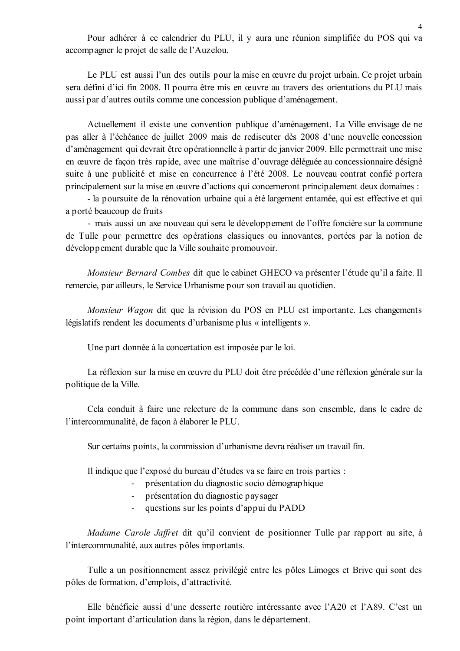Pour adhérer à ce calendrier du PLU, il y aura une réunion simplifiée du POS qui va accompagner le projet de salle de l'Auzelou.

Le PLU est aussi l'un des outils pour la mise en œuvre du projet urbain. Ce projet urbain sera défini d'ici fin 2008. Il pourra être mis en œuvre au travers des orientations du PLU mais aussi par d'autres outils comme une concession publique d'aménagement.

Actuellement il existe une convention publique d'aménagement. La Ville envisage de ne pas aller à l'échéance de juillet 2009 mais de rediscuter dès 2008 d'une nouvelle concession d'aménagement qui devrait être opérationnelle à partir de janvier 2009. Elle permettrait une mise en œuvre de façon très rapide, avec une maîtrise d'ouvrage déléguée au concessionnaire désigné suite à une publicité et mise en concurrence à l'été 2008. Le nouveau contrat confié portera principalement sur la mise en œuvre d'actions qui concerneront principalement deux domaines :

- la poursuite de la rénovation urbaine qui a été largement entamée, qui est effective et qui a porté beaucoup de fruits

- mais aussi un axe nouveau qui sera le développement de l'offre foncière sur la commune de Tulle pour permettre des opérations classiques ou innovantes, portées par la notion de développement durable que la Ville souhaite promouvoir.

*Monsieur Bernard Combes* dit que le cabinet GHECO va présenter l'étude qu'il a faite. Il remercie, par ailleurs, le Service Urbanisme pour son travail au quotidien.

Monsieur Wagon dit que la révision du POS en PLU est importante. Les changements législatifs rendent les documents d'urbanisme plus « intelligents ».

Une part donnée à la concertation est imposée par le loi.

La réflexion sur la mise en œuvre du PLU doit être précédée d'une réflexion générale sur la politique de la Ville.

Cela conduit à faire une relecture de la commune dans son ensemble, dans le cadre de l'intercommunalité, de facon à élaborer le PLU.

Sur certains points, la commission d'urbanisme devra réaliser un travail fin.

Il indique que l'exposé du bureau d'études va se faire en trois parties :

- $\omega_{\rm{max}}$ présentation du diagnostic socio démographique
- présentation du diagnostic paysager
- questions sur les points d'appui du PADD  $\Delta \sim 10^4$

Madame Carole Jaffret dit qu'il convient de positionner Tulle par rapport au site, à l'intercommunalité, aux autres pôles importants.

Tulle a un positionnement assez privilégié entre les pôles Limoges et Brive qui sont des pôles de formation, d'emplois, d'attractivité.

Elle bénéficie aussi d'une desserte routière intéressante avec l'A20 et l'A89. C'est un point important d'articulation dans la région, dans le département.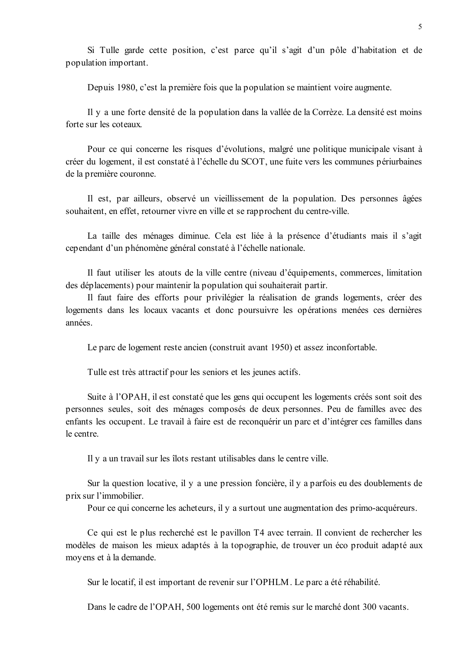Si Tulle garde cette position, c'est parce qu'il s'agit d'un pôle d'habitation et de population important.

Depuis 1980, c'est la première fois que la population se maintient voire augmente.

Il y a une forte densité de la population dans la vallée de la Corrèze. La densité est moins forte sur les coteaux

Pour ce qui concerne les risques d'évolutions, malgré une politique municipale visant à créer du logement, il est constaté à l'échelle du SCOT, une fuite vers les communes périurbaines de la première couronne.

Il est, par ailleurs, observé un vieillissement de la population. Des personnes âgées souhaitent, en effet, retourner vivre en ville et se rapprochent du centre-ville.

La taille des ménages diminue. Cela est liée à la présence d'étudiants mais il s'agit cependant d'un phénomène général constaté à l'échelle nationale.

Il faut utiliser les atouts de la ville centre (niveau d'équipements, commerces, limitation des déplacements) pour maintenir la population qui souhaiterait partir.

Il faut faire des efforts pour privilégier la réalisation de grands logements, créer des logements dans les locaux vacants et donc poursuivre les opérations menées ces dernières années.

Le parc de logement reste ancien (construit avant 1950) et assez inconfortable.

Tulle est très attractif pour les seniors et les jeunes actifs.

Suite à l'OPAH, il est constaté que les gens qui occupent les logements créés sont soit des personnes seules, soit des ménages composés de deux personnes. Peu de familles avec des enfants les occupent. Le travail à faire est de reconquérir un parc et d'intégrer ces familles dans le centre.

Il y a un travail sur les îlots restant utilisables dans le centre ville.

Sur la question locative, il y a une pression foncière, il y a parfois eu des doublements de prix sur l'immobilier.

Pour ce qui concerne les acheteurs, il y a surtout une augmentation des primo-acquéreurs.

Ce qui est le plus recherché est le pavillon T4 avec terrain. Il convient de rechercher les modèles de maison les mieux adaptés à la topographie, de trouver un éco produit adapté aux moyens et à la demande.

Sur le locatif, il est important de revenir sur l'OPHLM. Le parc a été réhabilité.

Dans le cadre de l'OPAH. 500 logements ont été remis sur le marché dont 300 vacants.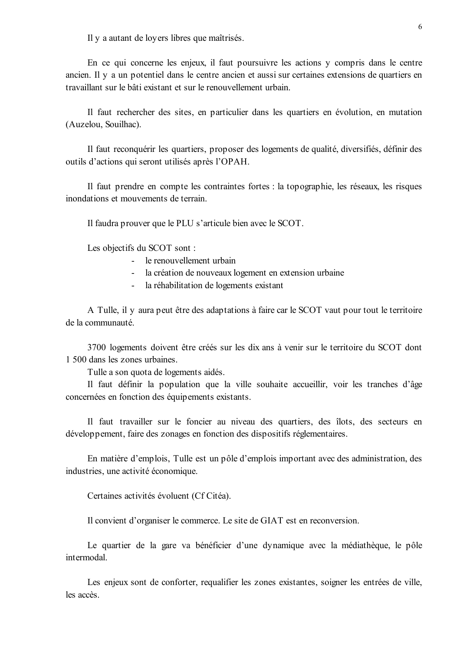Il y a autant de loyers libres que maîtrisés.

En ce qui concerne les enjeux, il faut poursuivre les actions y compris dans le centre ancien. Il y a un potentiel dans le centre ancien et aussi sur certaines extensions de quartiers en travaillant sur le bâti existant et sur le renouvellement urbain.

Il faut rechercher des sites, en particulier dans les quartiers en évolution, en mutation (Auzelou, Souilhac).

Il faut reconquérir les quartiers, proposer des logements de qualité, diversifiés, définir des outils d'actions qui seront utilisés après l'OPAH.

Il faut prendre en compte les contraintes fortes : la topographie, les réseaux, les risques inondations et mouvements de terrain.

Il faudra prouver que le PLU s'articule bien avec le SCOT.

Les objectifs du SCOT sont :

- le renouvellement urbain
- la création de nouveaux logement en extension urbaine
- la réhabilitation de logements existant

A Tulle, il y aura peut être des adaptations à faire car le SCOT vaut pour tout le territoire de la communauté.

3700 logements doivent être créés sur les dix ans à venir sur le territoire du SCOT dont 1 500 dans les zones urbaines.

Tulle a son quota de logements aidés.

Il faut définir la population que la ville souhaite accueillir, voir les tranches d'âge concernées en fonction des équipements existants.

Il faut travailler sur le foncier au niveau des quartiers, des îlots, des secteurs en développement, faire des zonages en fonction des dispositifs réglementaires.

En matière d'emplois, Tulle est un pôle d'emplois important avec des administration, des industries, une activité économique.

Certaines activités évoluent (Cf Citéa).

Il convient d'organiser le commerce. Le site de GIAT est en reconversion.

Le quartier de la gare va bénéficier d'une dynamique avec la médiathèque, le pôle intermodal

Les enjeux sont de conforter, requalifier les zones existantes, soigner les entrées de ville, les accès.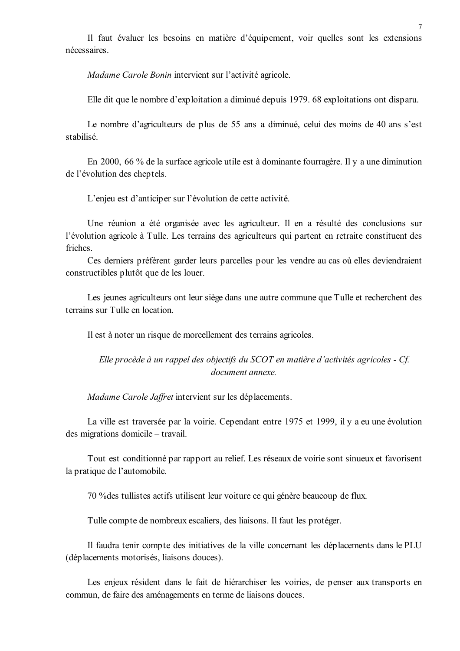Il faut évaluer les besoins en matière d'équipement, voir quelles sont les extensions nécessaires

Madame Carole Bonin intervient sur l'activité agricole.

Elle dit que le nombre d'exploitation a diminué depuis 1979, 68 exploitations ont disparu.

Le nombre d'agriculteurs de plus de 55 ans a diminué, celui des moins de 40 ans s'est stabilisé

En 2000, 66 % de la surface agricole utile est à dominante fourragère. Il y a une diminution de l'évolution des cheptels.

L'enjeu est d'anticiper sur l'évolution de cette activité.

Une réunion a été organisée avec les agriculteur. Il en a résulté des conclusions sur l'évolution agricole à Tulle. Les terrains des agriculteurs qui partent en retraite constituent des friches

Ces derniers préfèrent garder leurs parcelles pour les vendre au cas où elles deviendraient constructibles plutôt que de les louer.

Les jeunes agriculteurs ont leur siège dans une autre commune que Tulle et recherchent des terrains sur Tulle en location

Il est à noter un risque de morcellement des terrains agricoles.

Elle procède à un rappel des objectifs du SCOT en matière d'activités agricoles - Cf. document annexe.

Madame Carole Jaffret intervient sur les déplacements.

La ville est traversée par la voirie. Cependant entre 1975 et 1999, il y a eu une évolution des migrations domicile – travail.

Tout est conditionné par rapport au relief. Les réseaux de voirie sont sinueux et favorisent la pratique de l'automobile.

70 % des tullistes actifs utilisent leur voiture ce qui génère beaucoup de flux.

Tulle compte de nombreux escaliers, des liaisons. Il faut les protéger.

Il faudra tenir compte des initiatives de la ville concernant les déplacements dans le PLU (déplacements motorisés, liaisons douces).

Les enjeux résident dans le fait de hiérarchiser les voiries, de penser aux transports en commun, de faire des aménagements en terme de liaisons douces.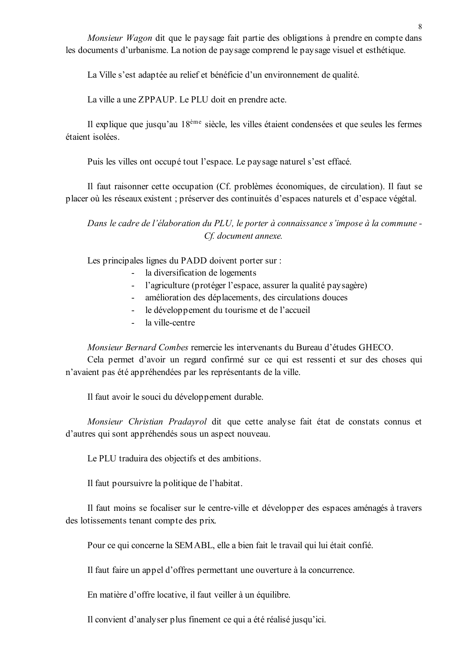Monsieur Wagon dit que le paysage fait partie des obligations à prendre en compte dans les documents d'urbanisme. La notion de paysage comprend le paysage visuel et esthétique.

La Ville s'est adaptée au relief et bénéficie d'un environnement de qualité.

La ville a une ZPPAUP. Le PLU doit en prendre acte.

Il explique que jusqu'au 18<sup>ème</sup> siècle, les villes étaient condensées et que seules les fermes étaient isolées

Puis les villes ont occupé tout l'espace. Le paysage naturel s'est effacé.

Il faut raisonner cette occupation (Cf. problèmes économiques, de circulation). Il faut se placer où les réseaux existent ; préserver des continuités d'espaces naturels et d'espace végétal.

Dans le cadre de l'élaboration du PLU, le porter à connaissance s'impose à la commune -Cf. document annexe.

Les principales lignes du PADD doivent porter sur :

- la diversification de logements
- l'agriculture (protéger l'espace, assurer la qualité paysagère)
- amélioration des déplacements, des circulations douces  $\omega_{\rm{max}}$
- le développement du tourisme et de l'accueil
- la ville-centre

Monsieur Bernard Combes remercie les intervenants du Bureau d'études GHECO.

Cela permet d'avoir un regard confirmé sur ce qui est ressenti et sur des choses qui n'avaient pas été appréhendées par les représentants de la ville.

Il faut avoir le souci du développement durable.

Monsieur Christian Pradayrol dit que cette analyse fait état de constats connus et d'autres qui sont appréhendés sous un aspect nouveau.

Le PLU traduira des objectifs et des ambitions.

Il faut poursuivre la politique de l'habitat.

Il faut moins se focaliser sur le centre-ville et développer des espaces aménagés à travers des lotissements tenant compte des prix.

Pour ce qui concerne la SEMABL, elle a bien fait le travail qui lui était confié.

Il faut faire un appel d'offres permettant une ouverture à la concurrence.

En matière d'offre locative, il faut veiller à un équilibre.

Il convient d'analyser plus finement ce qui a été réalisé jusqu'ici.